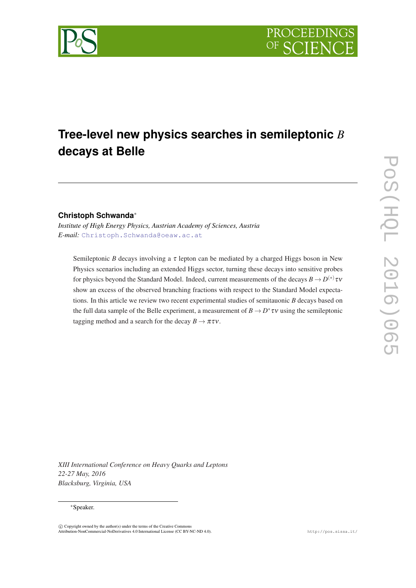

# **Tree-level new physics searches in semileptonic** *B* **decays at Belle**

# **Christoph Schwanda**<sup>∗</sup>

*Institute of High Energy Physics, Austrian Academy of Sciences, Austria E-mail:* [Christoph.Schwanda@oeaw.ac.at](mailto:Christoph.Schwanda@oeaw.ac.at)

Semileptonic *B* decays involving a  $\tau$  lepton can be mediated by a charged Higgs boson in New Physics scenarios including an extended Higgs sector, turning these decays into sensitive probes for physics beyond the Standard Model. Indeed, current measurements of the decays  $B \to D^{(*)} \tau \nu$ show an excess of the observed branching fractions with respect to the Standard Model expectations. In this article we review two recent experimental studies of semitauonic *B* decays based on the full data sample of the Belle experiment, a measurement of  $B \to D^* \tau v$  using the semileptonic tagging method and a search for the decay  $B \to \pi \tau \nu$ .

POS(ELQL 2016)065 PoS(HQL 2016)065

*XIII International Conference on Heavy Quarks and Leptons 22-27 May, 2016 Blacksburg, Virginia, USA*

#### <sup>∗</sup>Speaker.

 $\overline{c}$  Copyright owned by the author(s) under the terms of the Creative Common Attribution-NonCommercial-NoDerivatives 4.0 International License (CC BY-NC-ND 4.0). http://pos.sissa.it/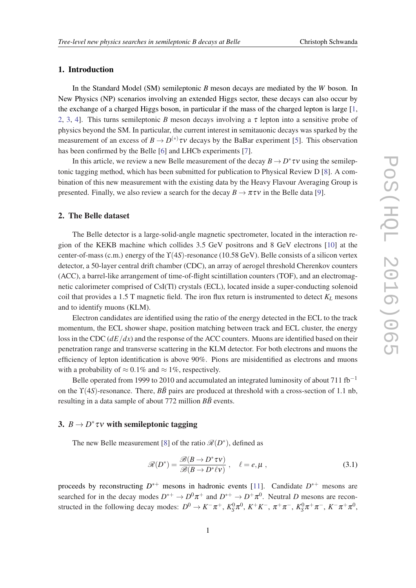## <span id="page-1-0"></span>1. Introduction

In the Standard Model (SM) semileptonic *B* meson decays are mediated by the *W* boson. In New Physics (NP) scenarios involving an extended Higgs sector, these decays can also occur by the exchange of a charged Higgs boson, in particular if the mass of the charged lepton is large [[1](#page-5-0), [2,](#page-5-0) [3,](#page-5-0) [4\]](#page-5-0). This turns semileptonic *B* meson decays involving a  $\tau$  lepton into a sensitive probe of physics beyond the SM. In particular, the current interest in semitauonic decays was sparked by the measurement of an excess of  $B \to D^{(*)}\tau v$  decays by the BaBar experiment [[5](#page-5-0)]. This observation has been confirmed by the Belle [[6](#page-5-0)] and LHCb experiments [[7](#page-5-0)].

In this article, we review a new Belle measurement of the decay  $B \to D^* \tau \nu$  using the semileptonic tagging method, which has been submitted for publication to Physical Review D [[8](#page-5-0)]. A combination of this new measurement with the existing data by the Heavy Flavour Averaging Group is presented. Finally, we also review a search for the decay  $B \to \pi \tau \nu$  in the Belle data [\[9\]](#page-5-0).

#### 2. The Belle dataset

The Belle detector is a large-solid-angle magnetic spectrometer, located in the interaction region of the KEKB machine which collides 3.5 GeV positrons and 8 GeV electrons [\[10](#page-6-0)] at the center-of-mass (c.m.) energy of the ϒ(4*S*)-resonance (10.58 GeV). Belle consists of a silicon vertex detector, a 50-layer central drift chamber (CDC), an array of aerogel threshold Cherenkov counters (ACC), a barrel-like arrangement of time-of-flight scintillation counters (TOF), and an electromagnetic calorimeter comprised of CsI(Tl) crystals (ECL), located inside a super-conducting solenoid coil that provides a 1.5 T magnetic field. The iron flux return is instrumented to detect  $K_L$  mesons and to identify muons (KLM).

Electron candidates are identified using the ratio of the energy detected in the ECL to the track momentum, the ECL shower shape, position matching between track and ECL cluster, the energy loss in the CDC (*dE*/*dx*) and the response of the ACC counters. Muons are identified based on their penetration range and transverse scattering in the KLM detector. For both electrons and muons the efficiency of lepton identification is above 90%. Pions are misidentified as electrons and muons with a probability of  $\approx 0.1\%$  and  $\approx 1\%$ , respectively.

Belle operated from 1999 to 2010 and accumulated an integrated luminosity of about 711 fb<sup>-1</sup> on the  $\Upsilon(4S)$ -resonance. There,  $B\bar{B}$  pairs are produced at threshold with a cross-section of 1.1 nb, resulting in a data sample of about  $772$  million  $B\overline{B}$  events.

# 3.  $B \to D^* \tau v$  with semileptonic tagging

The new Belle measurement [\[8\]](#page-5-0) of the ratio  $\mathcal{R}(D^*)$ , defined as

$$
\mathcal{R}(D^*) = \frac{\mathcal{B}(B \to D^* \tau \nu)}{\mathcal{B}(B \to D^* \ell \nu)}, \quad \ell = e, \mu,
$$
\n(3.1)

proceeds by reconstructing  $D^{*+}$  mesons in hadronic events [\[11](#page-6-0)]. Candidate  $D^{*+}$  mesons are searched for in the decay modes  $D^{*+} \to D^0 \pi^+$  and  $D^{*+} \to D^+ \pi^0$ . Neutral *D* mesons are reconstructed in the following decay modes:  $D^0 \to K^-\pi^+$ ,  $K_S^0\pi^0$ ,  $K^+K^-$ ,  $\pi^+\pi^-$ ,  $K_S^0\pi^+\pi^-$ ,  $K^-\pi^+\pi^0$ ,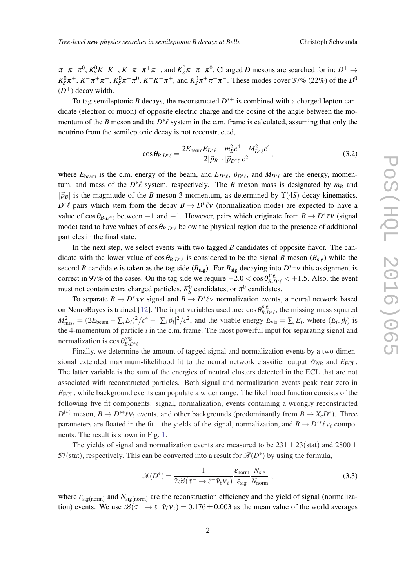$\pi^+\pi^-\pi^0$ ,  $K_S^0K^+K^-$ ,  $K^-\pi^+\pi^+\pi^-$ , and  $K_S^0\pi^+\pi^-\pi^0$ . Charged *D* mesons are searched for in:  $D^+\to$  $K_S^0 \pi^+, K^- \pi^+ \pi^+, K_S^0 \pi^+ \pi^0, K^+ K^- \pi^+,$  and  $K_S^0 \pi^+ \pi^+ \pi^-$ . These modes cover 37% (22%) of the *D*<sup>0</sup>  $(D<sup>+</sup>)$  decay width.

To tag semileptonic *B* decays, the reconstructed  $D^{*+}$  is combined with a charged lepton candidate (electron or muon) of opposite electric charge and the cosine of the angle between the momentum of the *B* meson and the  $D^* \ell$  system in the c.m. frame is calculated, assuming that only the neutrino from the semileptonic decay is not reconstructed,

$$
\cos \theta_{B \cdot D^* \ell} = \frac{2E_{\text{beam}} E_{D^* \ell} - m_B^2 c^4 - M_{D^* \ell}^2 c^4}{2|\vec{p}_B| \cdot |\vec{p}_{D^* \ell}| c^2},\tag{3.2}
$$

where  $E_{\text{beam}}$  is the c.m. energy of the beam, and  $E_{D^*\ell}$ ,  $\vec{p}_{D^*\ell}$ , and  $M_{D^*\ell}$  are the energy, momentum, and mass of the  $D^*\ell$  system, respectively. The *B* meson mass is designated by  $m_B$  and  $|\vec{p}_B|$  is the magnitude of the *B* meson 3-momentum, as determined by  $\Upsilon(4S)$  decay kinematics.  $D^*\ell$  pairs which stem from the decay  $B \to D^*\ell \nu$  (normalization mode) are expected to have a value of  $\cos \theta_{B-D^* \ell}$  between -1 and +1. However, pairs which originate from  $B \to D^* \tau \nu$  (signal mode) tend to have values of  $\cos \theta_{B-D^*\ell}$  below the physical region due to the presence of additional particles in the final state.

In the next step, we select events with two tagged *B* candidates of opposite flavor. The candidate with the lower value of  $\cos \theta_{B-D^*\ell}$  is considered to be the signal *B* meson ( $B_{sig}$ ) while the second *B* candidate is taken as the tag side ( $B_{tag}$ ). For  $B_{sig}$  decaying into  $D^* \tau v$  this assignment is correct in 97% of the cases. On the tag side we require  $-2.0 < \cos \theta_{B-D^*\ell}^{\text{tag}} < +1.5$ . Also, the event must not contain extra charged particles,  $K_S^0$  candidates, or  $\pi^0$  candidates.

To separate  $B \to D^* \tau v$  signal and  $B \to D^* \ell v$  normalization events, a neural network based on NeuroBayes is trained [\[12\]](#page-6-0). The input variables used are:  $\cos \theta_{B-D^*\ell}^{sig}$ , the missing mass squared  $M_{\text{miss}}^2 = (2E_{\text{beam}} - \sum_i E_i)^2 / c^4 - |\sum_i \vec{p}_i|^2 / c^2$ , and the visible energy  $E_{\text{vis}} = \sum_i E_i$ , where  $(E_i, \vec{p}_i)$  is the 4-momentum of particle *i* in the c.m. frame. The most powerful input for separating signal and normalization is  $\cos \theta_{B-D^*\ell}^{\text{sig}}$ .

Finally, we determine the amount of tagged signal and normalization events by a two-dimensional extended maximum-likelihood fit to the neural network classifier output  $\mathscr{O}_{NB}$  and  $E_{\text{ECL}}$ . The latter variable is the sum of the energies of neutral clusters detected in the ECL that are not associated with reconstructed particles. Both signal and normalization events peak near zero in *E*ECL, while background events can populate a wider range. The likelihood function consists of the following five fit components: signal, normalization, events containing a wrongly reconstructed  $D^{(*)}$  meson,  $B \to D^{**}\ell\nu_{\ell}$  events, and other backgrounds (predominantly from  $B \to X_cD^*$ ). Three parameters are floated in the fit – the yields of the signal, normalization, and  $B \to D^{**}\ell\nu_\ell$  components. The result is shown in Fig. [1.](#page-3-0)

The yields of signal and normalization events are measured to be  $231 \pm 23$ (stat) and  $2800 \pm 10$ 57(stat), respectively. This can be converted into a result for  $\mathcal{R}(D^*)$  by using the formula,

$$
\mathcal{R}(D^*) = \frac{1}{2\mathcal{B}(\tau^- \to \ell^- \bar{v}_\ell v_\tau)} \frac{\varepsilon_{\text{norm}}}{\varepsilon_{\text{sig}}} \frac{N_{\text{sig}}}{N_{\text{norm}}},
$$
(3.3)

where  $\varepsilon_{\text{sig(norm)}}$  and  $N_{\text{sig(norm)}}$  are the reconstruction efficiency and the yield of signal (normalization) events. We use  $\mathscr{B}(\tau^- \to \ell^- \bar{v}_{\ell} v_{\tau}) = 0.176 \pm 0.003$  as the mean value of the world averages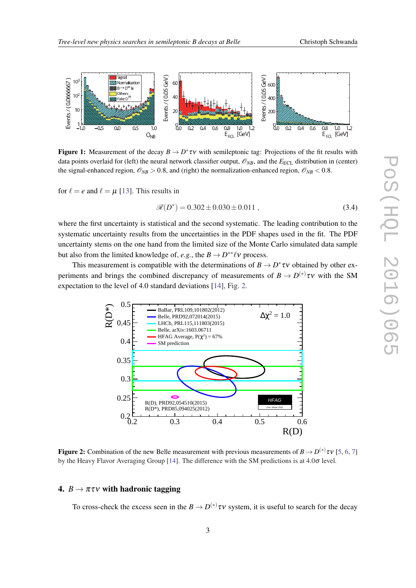<span id="page-3-0"></span>

**Figure 1:** Measurement of the decay  $B \to D^* \tau v$  with semileptonic tag: Projections of the fit results with data points overlaid for (left) the neural network classifier output,  $\mathcal{O}_{NB}$ , and the  $E_{\text{ECL}}$  distribution in (center) the signal-enhanced region,  $\mathcal{O}_{NB} > 0.8$ , and (right) the normalization-enhanced region,  $\mathcal{O}_{NB} < 0.8$ .

for  $\ell = e$  and  $\ell = \mu$  [\[13](#page-6-0)]. This results in

$$
\mathcal{R}(D^*) = 0.302 \pm 0.030 \pm 0.011 , \qquad (3.4)
$$

where the first uncertainty is statistical and the second systematic. The leading contribution to the systematic uncertainty results from the uncertainties in the PDF shapes used in the fit. The PDF uncertainty stems on the one hand from the limited size of the Monte Carlo simulated data sample but also from the limited knowledge of, *e.g.*, the  $B \to D^{**}\ell\nu$  process.

This measurement is compatible with the determinations of  $B \to D^* \tau \nu$  obtained by other experiments and brings the combined discrepancy of measurements of  $B \to D^{(*)} \tau \nu$  with the SM expectation to the level of 4.0 standard deviations [[14\]](#page-6-0), Fig. 2.



Figure 2: Combination of the new Belle measurement with previous measurements of  $B \to D^{(*)} \tau v$  [[5,](#page-5-0) [6,](#page-5-0) [7\]](#page-5-0) by the Heavy Flavor Averaging Group [[14\]](#page-6-0). The difference with the SM predictions is at 4.0σ level.

## 4.  $B \rightarrow \pi \tau \nu$  with hadronic tagging

To cross-check the excess seen in the  $B \to D^{(*)}\tau v$  system, it is useful to search for the decay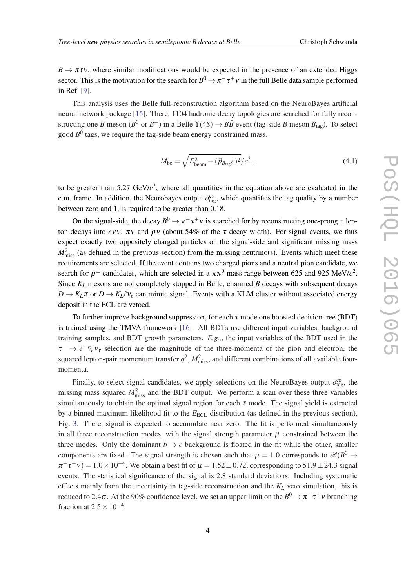$B \to \pi \tau \nu$ , where similar modifications would be expected in the presence of an extended Higgs sector. This is the motivation for the search for  $B^0\to\pi^-\tau^+\nu$  in the full Belle data sample performed in Ref. [\[9\]](#page-5-0).

This analysis uses the Belle full-reconstruction algorithm based on the NeuroBayes artificial neural network package [\[15\]](#page-6-0). There, 1104 hadronic decay topologies are searched for fully reconstructing one *B* meson ( $B^0$  or  $B^+$ ) in a Belle  $\Upsilon(4S) \to B\bar{B}$  event (tag-side *B* meson  $B_{\text{tag}}$ ). To select good  $B^0$  tags, we require the tag-side beam energy constrained mass,

$$
M_{bc} = \sqrt{E_{beam}^2 - (\vec{p}_{B_{tag}}c)^2}/c^2 \,, \tag{4.1}
$$

to be greater than  $5.27 \text{ GeV}/c^2$ , where all quantities in the equation above are evaluated in the c.m. frame. In addition, the Neurobayes output  $o_{\text{tag}}^{\text{cs}}$ , which quantifies the tag quality by a number between zero and 1, is required to be greater than 0.18.

On the signal-side, the decay  $B^0 \to \pi^- \tau^+ \nu$  is searched for by reconstructing one-prong  $\tau$  lepton decays into *evv*,  $\pi v$  and  $\rho v$  (about 54% of the  $\tau$  decay width). For signal events, we thus expect exactly two oppositely charged particles on the signal-side and significant missing mass  $M<sub>miss</sub><sup>2</sup>$  (as defined in the previous section) from the missing neutrino(s). Events which meet these requirements are selected. If the event contains two charged pions and a neutral pion candidate, we search for  $\rho^{\pm}$  candidates, which are selected in a  $\pi\pi^{0}$  mass range between 625 and 925 MeV/ $c^{2}$ . Since *K<sup>L</sup>* mesons are not completely stopped in Belle, charmed *B* decays with subsequent decays  $D \to K_L \pi$  or  $D \to K_L \ell v_\ell$  can mimic signal. Events with a KLM cluster without associated energy deposit in the ECL are vetoed.

To further improve background suppression, for each  $\tau$  mode one boosted decision tree (BDT) is trained using the TMVA framework [\[16](#page-6-0)]. All BDTs use different input variables, background training samples, and BDT growth parameters. *E.g.,*, the input variables of the BDT used in the  $\tau^- \to e^- \bar{\nu}_e \nu_\tau$  selection are the magnitude of the three-momenta of the pion and electron, the squared lepton-pair momentum transfer  $q^2$ ,  $M_{\text{miss}}^2$ , and different combinations of all available fourmomenta.

Finally, to select signal candidates, we apply selections on the NeuroBayes output  $o_{\text{tag}}^{\text{cs}}$ , the missing mass squared  $M<sub>miss</sub><sup>2</sup>$  and the BDT output. We perform a scan over these three variables simultaneously to obtain the optimal signal region for each  $\tau$  mode. The signal yield is extracted by a binned maximum likelihood fit to the  $E_{\text{ECL}}$  distribution (as defined in the previous section), Fig. [3.](#page-5-0) There, signal is expected to accumulate near zero. The fit is performed simultaneously in all three reconstruction modes, with the signal strength parameter  $\mu$  constrained between the three modes. Only the dominant  $b \to c$  background is floated in the fit while the other, smaller components are fixed. The signal strength is chosen such that  $\mu = 1.0$  corresponds to  $\mathscr{B}(B^0 \to$  $\pi^-\tau^+\nu) = 1.0 \times 10^{-4}$ . We obtain a best fit of  $\mu = 1.52 \pm 0.72$ , corresponding to 51.9  $\pm$  24.3 signal events. The statistical significance of the signal is 2.8 standard deviations. Including systematic effects mainly from the uncertainty in tag-side reconstruction and the *K<sup>L</sup>* veto simulation, this is reduced to 2.4 $\sigma$ . At the 90% confidence level, we set an upper limit on the  $B^0\to\pi^-\tau^+\nu$  branching fraction at  $2.5 \times 10^{-4}$ .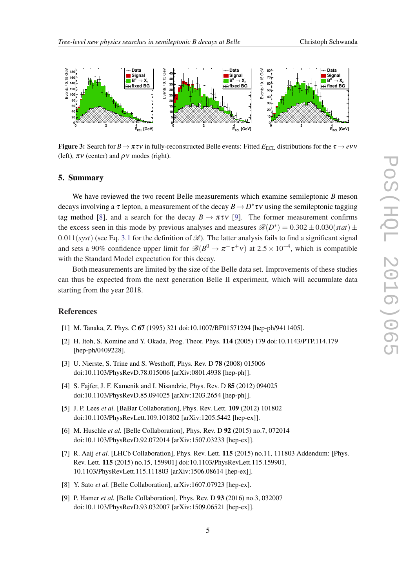<span id="page-5-0"></span>

**Figure 3:** Search for  $B \to \pi \tau v$  in fully-reconstructed Belle events: Fitted  $E_{\text{ECL}}$  distributions for the  $\tau \to e v v$ (left),  $\pi v$  (center) and  $\rho v$  modes (right).

#### 5. Summary

We have reviewed the two recent Belle measurements which examine semileptonic *B* meson decays involving a  $\tau$  lepton, a measurement of the decay  $B \to D^* \tau \nu$  using the semileptonic tagging tag method [8], and a search for the decay  $B \to \pi \tau v$  [9]. The former measurement confirms the excess seen in this mode by previous analyses and measures  $\mathcal{R}(D^*) = 0.302 \pm 0.030(stat) \pm 0.030(sstat)$  $0.011(syst)$  (see Eq. [3.1](#page-1-0) for the definition of  $\mathcal{R}$ ). The latter analysis fails to find a significant signal and sets a 90% confidence upper limit for  $\mathscr{B}(B^0 \to \pi^- \tau^+ \nu)$  at  $2.5 \times 10^{-4}$ , which is compatible with the Standard Model expectation for this decay.

Both measurements are limited by the size of the Belle data set. Improvements of these studies can thus be expected from the next generation Belle II experiment, which will accumulate data starting from the year 2018.

#### References

- [1] M. Tanaka, Z. Phys. C 67 (1995) 321 doi:10.1007/BF01571294 [hep-ph/9411405].
- [2] H. Itoh, S. Komine and Y. Okada, Prog. Theor. Phys. 114 (2005) 179 doi:10.1143/PTP.114.179 [hep-ph/0409228].
- [3] U. Nierste, S. Trine and S. Westhoff, Phys. Rev. D 78 (2008) 015006 doi:10.1103/PhysRevD.78.015006 [arXiv:0801.4938 [hep-ph]].
- [4] S. Fajfer, J. F. Kamenik and I. Nisandzic, Phys. Rev. D 85 (2012) 094025 doi:10.1103/PhysRevD.85.094025 [arXiv:1203.2654 [hep-ph]].
- [5] J. P. Lees *et al.* [BaBar Collaboration], Phys. Rev. Lett. 109 (2012) 101802 doi:10.1103/PhysRevLett.109.101802 [arXiv:1205.5442 [hep-ex]].
- [6] M. Huschle *et al.* [Belle Collaboration], Phys. Rev. D 92 (2015) no.7, 072014 doi:10.1103/PhysRevD.92.072014 [arXiv:1507.03233 [hep-ex]].
- [7] R. Aaij *et al.* [LHCb Collaboration], Phys. Rev. Lett. 115 (2015) no.11, 111803 Addendum: [Phys. Rev. Lett. 115 (2015) no.15, 159901] doi:10.1103/PhysRevLett.115.159901, 10.1103/PhysRevLett.115.111803 [arXiv:1506.08614 [hep-ex]].
- [8] Y. Sato *et al.* [Belle Collaboration], arXiv:1607.07923 [hep-ex].
- [9] P. Hamer *et al.* [Belle Collaboration], Phys. Rev. D 93 (2016) no.3, 032007 doi:10.1103/PhysRevD.93.032007 [arXiv:1509.06521 [hep-ex]].